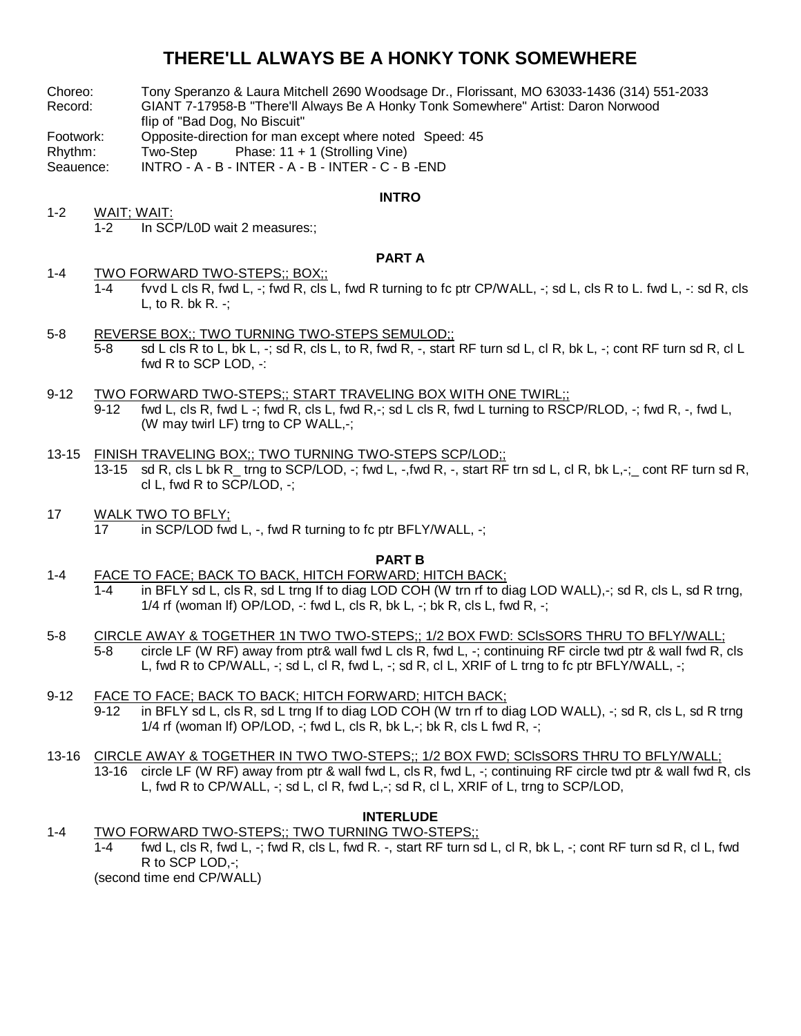# **THERE'LL ALWAYS BE A HONKY TONK SOMEWHERE**

- Choreo: Tony Speranzo & Laura Mitchell 2690 Woodsage Dr., Florissant, MO 63033-1436 (314) 551-2033
- Record: GIANT 7-17958-B "There'll Always Be A Honky Tonk Somewhere" Artist: Daron Norwood flip of "Bad Dog, No Biscuit"
- Footwork: Opposite-direction for man except where noted Speed: 45
- Rhythm: Two-Step Phase: 11 + 1 (Strolling Vine)
- Seauence: INTRO A B INTER A B INTER C B -END

### **INTRO**

1-2 WAIT; WAIT: 1-2 In SCP/L0D wait 2 measures:;

# **PART A**

- 1-4 TWO FORWARD TWO-STEPS;; BOX;;
	- 1-4 fvvd L cls R, fwd L, -; fwd R, cls L, fwd R turning to fc ptr CP/WALL, -; sd L, cls R to L. fwd L, -: sd R, cls L, to R. bk R.  $-$ ;
- 5-8 REVERSE BOX;; TWO TURNING TWO-STEPS SEMULOD;; 5-8 sd L cls R to L, bk L, -; sd R, cls L, to R, fwd R, -, start RF turn sd L, cl R, bk L, -; cont RF turn sd R, cl L fwd R to SCP LOD, -:
- 9-12 TWO FORWARD TWO-STEPS;; START TRAVELING BOX WITH ONE TWIRL;; 9-12 fwd L, cls R, fwd L -; fwd R, cls L, fwd R,-; sd L cls R, fwd L turning to RSCP/RLOD, -; fwd R, -, fwd L, (W may twirl LF) trng to CP WALL,-;
- 13-15 FINISH TRAVELING BOX;; TWO TURNING TWO-STEPS SCP/LOD;; 13-15 sd R, cls L bk R trng to SCP/LOD, -; fwd L, -,fwd R, -, start RF trn sd L, cl R, bk L,-; cont RF turn sd R, cl L, fwd R to SCP/LOD, -;
- 17 WALK TWO TO BFLY; 17 in SCP/LOD fwd L, -, fwd R turning to fc ptr BFLY/WALL, -;

#### **PART B**

- 1-4 FACE TO FACE; BACK TO BACK, HITCH FORWARD; HITCH BACK; 1-4 in BFLY sd L, cls R, sd L trng If to diag LOD COH (W trn rf to diag LOD WALL),-; sd R, cls L, sd R trng, 1/4 rf (woman If) OP/LOD,  $-$ : fwd L, cls R, bk L,  $-$ ; bk R, cls L, fwd R,  $-$ ;
- 5-8 CIRCLE AWAY & TOGETHER 1N TWO TWO-STEPS;; 1/2 BOX FWD: SClsSORS THRU TO BFLY/WALL; 5-8 circle LF (W RF) away from ptr& wall fwd L cls R, fwd L, -; continuing RF circle twd ptr & wall fwd R, cls L, fwd R to CP/WALL, -; sd L, cl R, fwd L, -; sd R, cl L, XRIF of L trng to fc ptr BFLY/WALL, -;
- 9-12 FACE TO FACE; BACK TO BACK; HITCH FORWARD; HITCH BACK; 9-12 in BFLY sd L, cls R, sd L trng If to diag LOD COH (W trn rf to diag LOD WALL), -; sd R, cls L, sd R trng 1/4 rf (woman If) OP/LOD, -; fwd L, cls R, bk L,-; bk R, cls L fwd R, -;
- 13-16 CIRCLE AWAY & TOGETHER IN TWO TWO-STEPS;; 1/2 BOX FWD; SClsSORS THRU TO BFLY/WALL; 13-16 circle LF (W RF) away from ptr & wall fwd L, cls R, fwd L, -; continuing RF circle twd ptr & wall fwd R, cls L, fwd R to CP/WALL, -; sd L, cl R, fwd L,-; sd R, cl L, XRIF of L, trng to SCP/LOD,

## **INTERLUDE**

1-4 TWO FORWARD TWO-STEPS;; TWO TURNING TWO-STEPS;;

1-4 fwd L, cls R, fwd L, -; fwd R, cls L, fwd R. -, start RF turn sd L, cl R, bk L, -; cont RF turn sd R, cl L, fwd R to SCP LOD,-;

(second time end CP/WALL)